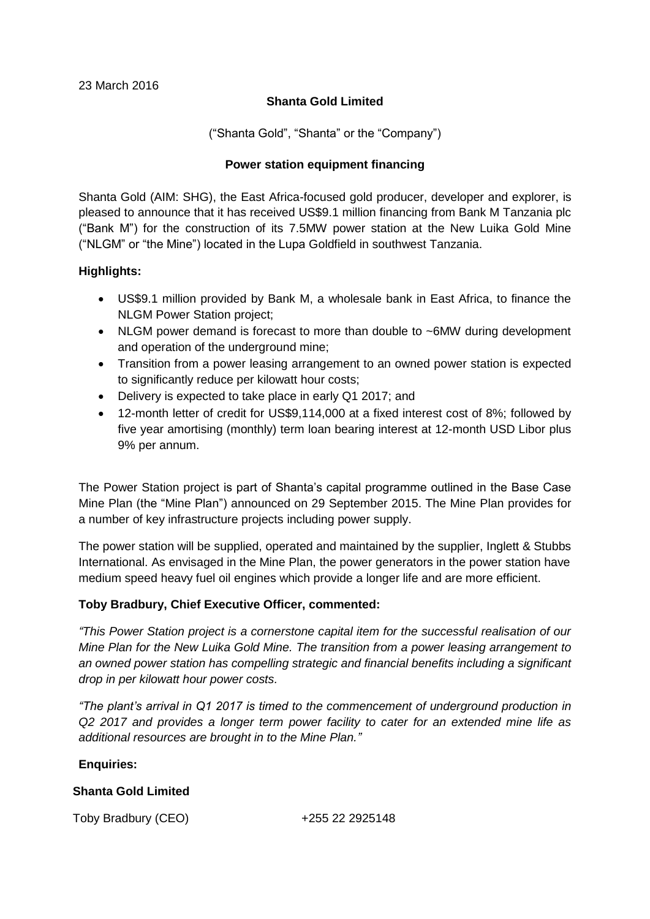## **Shanta Gold Limited**

("Shanta Gold", "Shanta" or the "Company")

## **Power station equipment financing**

Shanta Gold (AIM: SHG), the East Africa-focused gold producer, developer and explorer, is pleased to announce that it has received US\$9.1 million financing from Bank M Tanzania plc ("Bank M") for the construction of its 7.5MW power station at the New Luika Gold Mine ("NLGM" or "the Mine") located in the Lupa Goldfield in southwest Tanzania.

## **Highlights:**

- US\$9.1 million provided by Bank M, a wholesale bank in East Africa, to finance the NLGM Power Station project;
- NLGM power demand is forecast to more than double to ~6MW during development and operation of the underground mine;
- Transition from a power leasing arrangement to an owned power station is expected to significantly reduce per kilowatt hour costs;
- Delivery is expected to take place in early Q1 2017; and
- 12-month letter of credit for US\$9,114,000 at a fixed interest cost of 8%; followed by five year amortising (monthly) term loan bearing interest at 12-month USD Libor plus 9% per annum.

The Power Station project is part of Shanta's capital programme outlined in the Base Case Mine Plan (the "Mine Plan") announced on 29 September 2015. The Mine Plan provides for a number of key infrastructure projects including power supply.

The power station will be supplied, operated and maintained by the supplier, Inglett & Stubbs International. As envisaged in the Mine Plan, the power generators in the power station have medium speed heavy fuel oil engines which provide a longer life and are more efficient.

# **Toby Bradbury, Chief Executive Officer, commented:**

*"This Power Station project is a cornerstone capital item for the successful realisation of our Mine Plan for the New Luika Gold Mine. The transition from a power leasing arrangement to an owned power station has compelling strategic and financial benefits including a significant drop in per kilowatt hour power costs.*

*"The plant's arrival in Q1 2017 is timed to the commencement of underground production in Q2 2017 and provides a longer term power facility to cater for an extended mine life as additional resources are brought in to the Mine Plan."*

#### **Enquiries:**

# **Shanta Gold Limited**

Toby Bradbury (CEO) +255 22 2925148